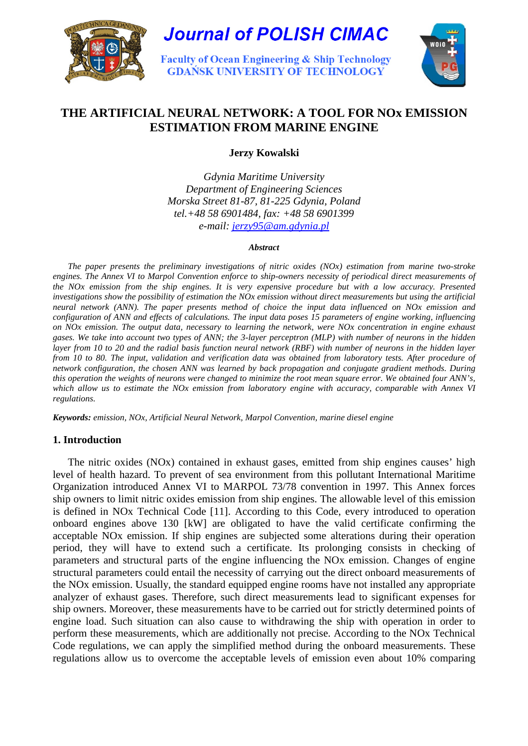

# **Journal of POLISH CIMAC**

**Faculty of Ocean Engineering & Ship Technology GDANSK UNIVERSITY OF TECHNOLOGY** 



## **THE ARTIFICIAL NEURAL NETWORK: A TOOL FOR NOx EMISSION ESTIMATION FROM MARINE ENGINE**

**Jerzy Kowalski** 

*Gdynia Maritime University Department of Engineering Sciences Morska Street 81-87, 81-225 Gdynia, Poland tel.+48 58 6901484, fax: +48 58 6901399 e-mail: jerzy95@am.gdynia.pl*

#### *Abstract*

*The paper presents the preliminary investigations of nitric oxides (NOx) estimation from marine two-stroke*  engines. The Annex VI to Marpol Convention enforce to ship-owners necessity of periodical direct measurements of *the NOx emission from the ship engines. It is very expensive procedure but with a low accuracy. Presented investigations show the possibility of estimation the NOx emission without direct measurements but using the artificial neural network (ANN). The paper presents method of choice the input data influenced on NOx emission and configuration of ANN and effects of calculations. The input data poses 15 parameters of engine working, influencing on NOx emission. The output data, necessary to learning the network, were NOx concentration in engine exhaust gases. We take into account two types of ANN; the 3-layer perceptron (MLP) with number of neurons in the hidden layer from 10 to 20 and the radial basis function neural network (RBF) with number of neurons in the hidden layer from 10 to 80. The input, validation and verification data was obtained from laboratory tests. After procedure of network configuration, the chosen ANN was learned by back propagation and conjugate gradient methods. During this operation the weights of neurons were changed to minimize the root mean square error. We obtained four ANN's, which allow us to estimate the NOx emission from laboratory engine with accuracy, comparable with Annex VI regulations.* 

*Keywords: emission, NOx, Artificial Neural Network, Marpol Convention, marine diesel engine* 

### **1. Introduction**

The nitric oxides (NOx) contained in exhaust gases, emitted from ship engines causes' high level of health hazard. To prevent of sea environment from this pollutant International Maritime Organization introduced Annex VI to MARPOL 73/78 convention in 1997. This Annex forces ship owners to limit nitric oxides emission from ship engines. The allowable level of this emission is defined in NOx Technical Code [11]. According to this Code, every introduced to operation onboard engines above 130 [kW] are obligated to have the valid certificate confirming the acceptable NOx emission. If ship engines are subjected some alterations during their operation period, they will have to extend such a certificate. Its prolonging consists in checking of parameters and structural parts of the engine influencing the NOx emission. Changes of engine structural parameters could entail the necessity of carrying out the direct onboard measurements of the NOx emission. Usually, the standard equipped engine rooms have not installed any appropriate analyzer of exhaust gases. Therefore, such direct measurements lead to significant expenses for ship owners. Moreover, these measurements have to be carried out for strictly determined points of engine load. Such situation can also cause to withdrawing the ship with operation in order to perform these measurements, which are additionally not precise. According to the NOx Technical Code regulations, we can apply the simplified method during the onboard measurements. These regulations allow us to overcome the acceptable levels of emission even about 10% comparing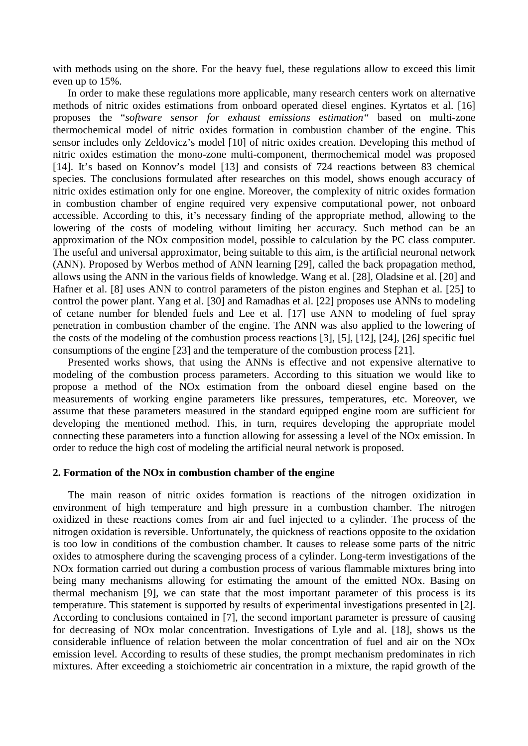with methods using on the shore. For the heavy fuel, these regulations allow to exceed this limit even up to 15%.

In order to make these regulations more applicable, many research centers work on alternative methods of nitric oxides estimations from onboard operated diesel engines. Kyrtatos et al. [16] proposes the "*software sensor for exhaust emissions estimation"* based on multi-zone thermochemical model of nitric oxides formation in combustion chamber of the engine. This sensor includes only Zeldovicz's model [10] of nitric oxides creation. Developing this method of nitric oxides estimation the mono-zone multi-component, thermochemical model was proposed [14]. It's based on Konnov's model [13] and consists of 724 reactions between 83 chemical species. The conclusions formulated after researches on this model, shows enough accuracy of nitric oxides estimation only for one engine. Moreover, the complexity of nitric oxides formation in combustion chamber of engine required very expensive computational power, not onboard accessible. According to this, it's necessary finding of the appropriate method, allowing to the lowering of the costs of modeling without limiting her accuracy. Such method can be an approximation of the NOx composition model, possible to calculation by the PC class computer. The useful and universal approximator, being suitable to this aim, is the artificial neuronal network (ANN). Proposed by Werbos method of ANN learning [29], called the back propagation method, allows using the ANN in the various fields of knowledge. Wang et al. [28], Oladsine et al. [20] and Hafner et al. [8] uses ANN to control parameters of the piston engines and Stephan et al. [25] to control the power plant. Yang et al. [30] and Ramadhas et al. [22] proposes use ANNs to modeling of cetane number for blended fuels and Lee et al. [17] use ANN to modeling of fuel spray penetration in combustion chamber of the engine. The ANN was also applied to the lowering of the costs of the modeling of the combustion process reactions [3], [5], [12], [24], [26] specific fuel consumptions of the engine [23] and the temperature of the combustion process [21].

Presented works shows, that using the ANNs is effective and not expensive alternative to modeling of the combustion process parameters. According to this situation we would like to propose a method of the NOx estimation from the onboard diesel engine based on the measurements of working engine parameters like pressures, temperatures, etc. Moreover, we assume that these parameters measured in the standard equipped engine room are sufficient for developing the mentioned method. This, in turn, requires developing the appropriate model connecting these parameters into a function allowing for assessing a level of the NOx emission. In order to reduce the high cost of modeling the artificial neural network is proposed.

#### **2. Formation of the NOx in combustion chamber of the engine**

The main reason of nitric oxides formation is reactions of the nitrogen oxidization in environment of high temperature and high pressure in a combustion chamber. The nitrogen oxidized in these reactions comes from air and fuel injected to a cylinder. The process of the nitrogen oxidation is reversible. Unfortunately, the quickness of reactions opposite to the oxidation is too low in conditions of the combustion chamber. It causes to release some parts of the nitric oxides to atmosphere during the scavenging process of a cylinder. Long-term investigations of the NOx formation carried out during a combustion process of various flammable mixtures bring into being many mechanisms allowing for estimating the amount of the emitted NOx. Basing on thermal mechanism [9], we can state that the most important parameter of this process is its temperature. This statement is supported by results of experimental investigations presented in [2]. According to conclusions contained in [7], the second important parameter is pressure of causing for decreasing of NOx molar concentration. Investigations of Lyle and al. [18], shows us the considerable influence of relation between the molar concentration of fuel and air on the NOx emission level. According to results of these studies, the prompt mechanism predominates in rich mixtures. After exceeding a stoichiometric air concentration in a mixture, the rapid growth of the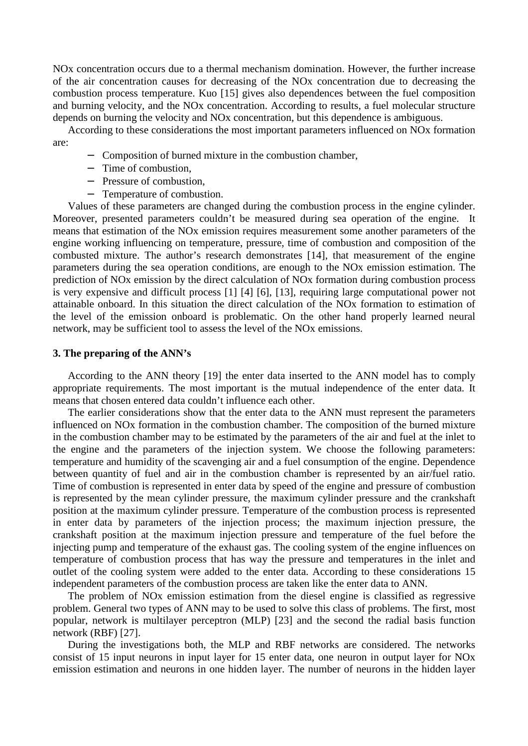NOx concentration occurs due to a thermal mechanism domination. However, the further increase of the air concentration causes for decreasing of the NOx concentration due to decreasing the combustion process temperature. Kuo [15] gives also dependences between the fuel composition and burning velocity, and the NOx concentration. According to results, a fuel molecular structure depends on burning the velocity and NOx concentration, but this dependence is ambiguous.

According to these considerations the most important parameters influenced on NOx formation are:

- − Composition of burned mixture in the combustion chamber,
- − Time of combustion,
- − Pressure of combustion,
- − Temperature of combustion.

Values of these parameters are changed during the combustion process in the engine cylinder. Moreover, presented parameters couldn't be measured during sea operation of the engine. It means that estimation of the NOx emission requires measurement some another parameters of the engine working influencing on temperature, pressure, time of combustion and composition of the combusted mixture. The author's research demonstrates [14], that measurement of the engine parameters during the sea operation conditions, are enough to the NOx emission estimation. The prediction of NOx emission by the direct calculation of NOx formation during combustion process is very expensive and difficult process [1] [4] [6], [13], requiring large computational power not attainable onboard. In this situation the direct calculation of the NOx formation to estimation of the level of the emission onboard is problematic. On the other hand properly learned neural network, may be sufficient tool to assess the level of the NOx emissions.

#### **3. The preparing of the ANN's**

According to the ANN theory [19] the enter data inserted to the ANN model has to comply appropriate requirements. The most important is the mutual independence of the enter data. It means that chosen entered data couldn't influence each other.

The earlier considerations show that the enter data to the ANN must represent the parameters influenced on NOx formation in the combustion chamber. The composition of the burned mixture in the combustion chamber may to be estimated by the parameters of the air and fuel at the inlet to the engine and the parameters of the injection system. We choose the following parameters: temperature and humidity of the scavenging air and a fuel consumption of the engine. Dependence between quantity of fuel and air in the combustion chamber is represented by an air/fuel ratio. Time of combustion is represented in enter data by speed of the engine and pressure of combustion is represented by the mean cylinder pressure, the maximum cylinder pressure and the crankshaft position at the maximum cylinder pressure. Temperature of the combustion process is represented in enter data by parameters of the injection process; the maximum injection pressure, the crankshaft position at the maximum injection pressure and temperature of the fuel before the injecting pump and temperature of the exhaust gas. The cooling system of the engine influences on temperature of combustion process that has way the pressure and temperatures in the inlet and outlet of the cooling system were added to the enter data. According to these considerations 15 independent parameters of the combustion process are taken like the enter data to ANN.

The problem of NOx emission estimation from the diesel engine is classified as regressive problem. General two types of ANN may to be used to solve this class of problems. The first, most popular, network is multilayer perceptron (MLP) [23] and the second the radial basis function network (RBF) [27].

During the investigations both, the MLP and RBF networks are considered. The networks consist of 15 input neurons in input layer for 15 enter data, one neuron in output layer for NOx emission estimation and neurons in one hidden layer. The number of neurons in the hidden layer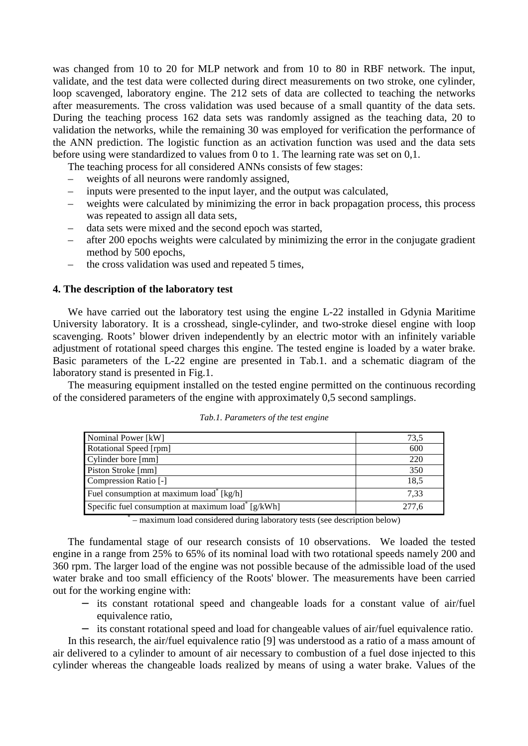was changed from 10 to 20 for MLP network and from 10 to 80 in RBF network. The input, validate, and the test data were collected during direct measurements on two stroke, one cylinder, loop scavenged, laboratory engine. The 212 sets of data are collected to teaching the networks after measurements. The cross validation was used because of a small quantity of the data sets. During the teaching process 162 data sets was randomly assigned as the teaching data, 20 to validation the networks, while the remaining 30 was employed for verification the performance of the ANN prediction. The logistic function as an activation function was used and the data sets before using were standardized to values from 0 to 1. The learning rate was set on 0,1.

The teaching process for all considered ANNs consists of few stages:

- weights of all neurons were randomly assigned,
- inputs were presented to the input layer, and the output was calculated,
- weights were calculated by minimizing the error in back propagation process, this process was repeated to assign all data sets,
- data sets were mixed and the second epoch was started,
- after 200 epochs weights were calculated by minimizing the error in the conjugate gradient method by 500 epochs,
- the cross validation was used and repeated 5 times,

#### **4. The description of the laboratory test**

\*

We have carried out the laboratory test using the engine L-22 installed in Gdynia Maritime University laboratory. It is a crosshead, single-cylinder, and two-stroke diesel engine with loop scavenging. Roots' blower driven independently by an electric motor with an infinitely variable adjustment of rotational speed charges this engine. The tested engine is loaded by a water brake. Basic parameters of the L-22 engine are presented in Tab.1. and a schematic diagram of the laboratory stand is presented in Fig.1.

The measuring equipment installed on the tested engine permitted on the continuous recording of the considered parameters of the engine with approximately 0,5 second samplings.

| Nominal Power [kW]                                             | 73.5  |
|----------------------------------------------------------------|-------|
| Rotational Speed [rpm]                                         | 600   |
| Cylinder bore [mm]                                             | 220   |
| Piston Stroke [mm]                                             | 350   |
| Compression Ratio [-]                                          | 18.5  |
| Fuel consumption at maximum load <sup>*</sup> [kg/h]           | 7.33  |
| Specific fuel consumption at maximum load <sup>*</sup> [g/kWh] | 277,6 |

*Tab.1. Parameters of the test engine* 

– maximum load considered during laboratory tests (see description below)

The fundamental stage of our research consists of 10 observations. We loaded the tested engine in a range from 25% to 65% of its nominal load with two rotational speeds namely 200 and 360 rpm. The larger load of the engine was not possible because of the admissible load of the used water brake and too small efficiency of the Roots' blower. The measurements have been carried out for the working engine with:

- − its constant rotational speed and changeable loads for a constant value of air/fuel equivalence ratio,
- − its constant rotational speed and load for changeable values of air/fuel equivalence ratio.

In this research, the air/fuel equivalence ratio [9] was understood as a ratio of a mass amount of air delivered to a cylinder to amount of air necessary to combustion of a fuel dose injected to this cylinder whereas the changeable loads realized by means of using a water brake. Values of the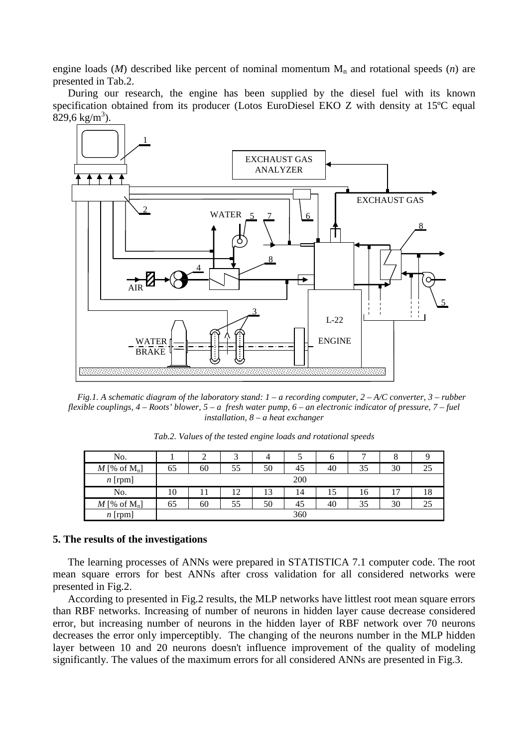engine loads  $(M)$  described like percent of nominal momentum  $M<sub>n</sub>$  and rotational speeds  $(n)$  are presented in Tab.2.

During our research, the engine has been supplied by the diesel fuel with its known specification obtained from its producer (Lotos EuroDiesel EKO Z with density at 15ºC equal  $829,6 \text{ kg/m}^3$ ).



*Fig.1. A schematic diagram of the laboratory stand: 1 – a recording computer, 2 – A/C converter, 3 – rubber flexible couplings, 4 – Roots' blower, 5 – a fresh water pump, 6 – an electronic indicator of pressure, 7 – fuel installation, 8 – a heat exchanger* 

| No.               |     | ∠  |    |    |     | O  | −  |    |    |  |
|-------------------|-----|----|----|----|-----|----|----|----|----|--|
| $M$ [% of $M_n$ ] | 65  | 60 | 55 | 50 | 45  | 40 | 35 | 30 | 25 |  |
| $n$ [rpm]         | 200 |    |    |    |     |    |    |    |    |  |
| No.               | 10  | 11 | 12 | 13 | 14  | 15 | 16 | π  | 18 |  |
| $M$ [% of $M_n$ ] | 65  | 60 | 55 | 50 | 45  | 40 | 35 | 30 | 25 |  |
| $n$ [rpm]         |     |    |    |    | 360 |    |    |    |    |  |

*Tab.2. Values of the tested engine loads and rotational speeds* 

#### **5. The results of the investigations**

The learning processes of ANNs were prepared in STATISTICA 7.1 computer code. The root mean square errors for best ANNs after cross validation for all considered networks were presented in Fig.2.

According to presented in Fig.2 results, the MLP networks have littlest root mean square errors than RBF networks. Increasing of number of neurons in hidden layer cause decrease considered error, but increasing number of neurons in the hidden layer of RBF network over 70 neurons decreases the error only imperceptibly. The changing of the neurons number in the MLP hidden layer between 10 and 20 neurons doesn't influence improvement of the quality of modeling significantly. The values of the maximum errors for all considered ANNs are presented in Fig.3.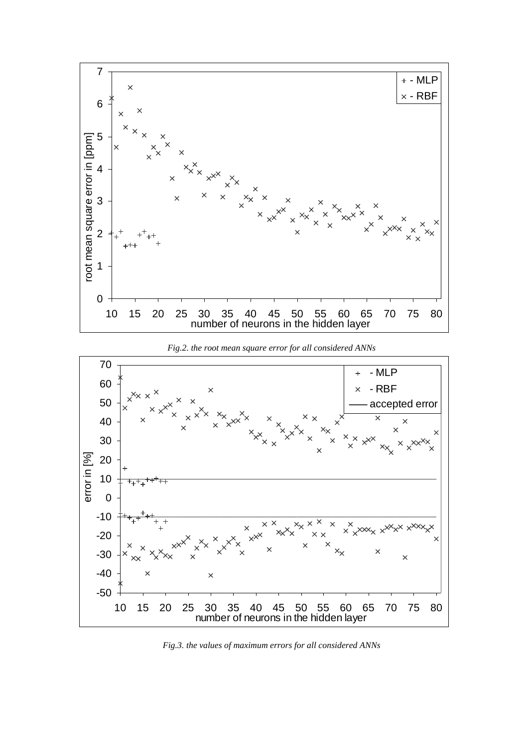





*Fig.3. the values of maximum errors for all considered ANNs*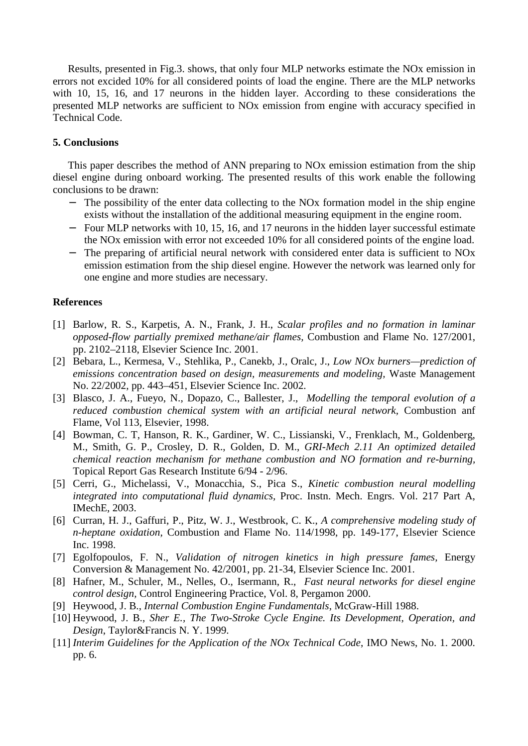Results, presented in Fig.3. shows, that only four MLP networks estimate the NOx emission in errors not excided 10% for all considered points of load the engine. There are the MLP networks with 10, 15, 16, and 17 neurons in the hidden layer. According to these considerations the presented MLP networks are sufficient to NOx emission from engine with accuracy specified in Technical Code.

#### **5. Conclusions**

This paper describes the method of ANN preparing to NOx emission estimation from the ship diesel engine during onboard working. The presented results of this work enable the following conclusions to be drawn:

- The possibility of the enter data collecting to the NO<sub>x</sub> formation model in the ship engine exists without the installation of the additional measuring equipment in the engine room.
- − Four MLP networks with 10, 15, 16, and 17 neurons in the hidden layer successful estimate the NOx emission with error not exceeded 10% for all considered points of the engine load.
- − The preparing of artificial neural network with considered enter data is sufficient to NOx emission estimation from the ship diesel engine. However the network was learned only for one engine and more studies are necessary.

#### **References**

- [1] Barlow, R. S., Karpetis, A. N., Frank, J. H., *Scalar profiles and no formation in laminar opposed-flow partially premixed methane/air flames,* Combustion and Flame No. 127/2001, pp. 2102–2118, Elsevier Science Inc. 2001.
- [2] Bebara, L., Kermesa, V., Stehlika, P., Canekb, J., Oralc, J., *Low NOx burners—prediction of emissions concentration based on design, measurements and modeling,* Waste Management No. 22/2002, pp. 443–451, Elsevier Science Inc. 2002.
- [3] Blasco, J. A., Fueyo, N., Dopazo, C., Ballester, J., *Modelling the temporal evolution of a reduced combustion chemical system with an artificial neural network,* Combustion anf Flame, Vol 113, Elsevier, 1998.
- [4] Bowman, C. T, Hanson, R. K., Gardiner, W. C., Lissianski, V., Frenklach, M., Goldenberg, M., Smith, G. P., Crosley, D. R., Golden, D. M., *GRI-Mech 2.11 An optimized detailed chemical reaction mechanism for methane combustion and NO formation and re-burning,* Topical Report Gas Research Institute 6/94 - 2/96.
- [5] Cerri, G., Michelassi, V., Monacchia, S., Pica S., *Kinetic combustion neural modelling integrated into computational fluid dynamics,* Proc. Instn. Mech. Engrs. Vol. 217 Part A, IMechE, 2003.
- [6] Curran, H. J., Gaffuri, P., Pitz, W. J., Westbrook, C. K., *A comprehensive modeling study of n-heptane oxidation,* Combustion and Flame No. 114/1998, pp. 149-177, Elsevier Science Inc. 1998.
- [7] Egolfopoulos, F. N., *Validation of nitrogen kinetics in high pressure fames,* Energy Conversion & Management No. 42/2001, pp. 21-34, Elsevier Science Inc. 2001.
- [8] Hafner, M., Schuler, M., Nelles, O., Isermann, R., *Fast neural networks for diesel engine control design,* Control Engineering Practice, Vol. 8, Pergamon 2000.
- [9] Heywood, J. B., *Internal Combustion Engine Fundamentals*, McGraw-Hill 1988.
- [10] Heywood, J. B., *Sher E., The Two-Stroke Cycle Engine. Its Development, Operation, and Design*, Taylor&Francis N. Y. 1999.
- [11] *Interim Guidelines for the Application of the NOx Technical Code*, IMO News, No. 1. 2000. pp. 6.